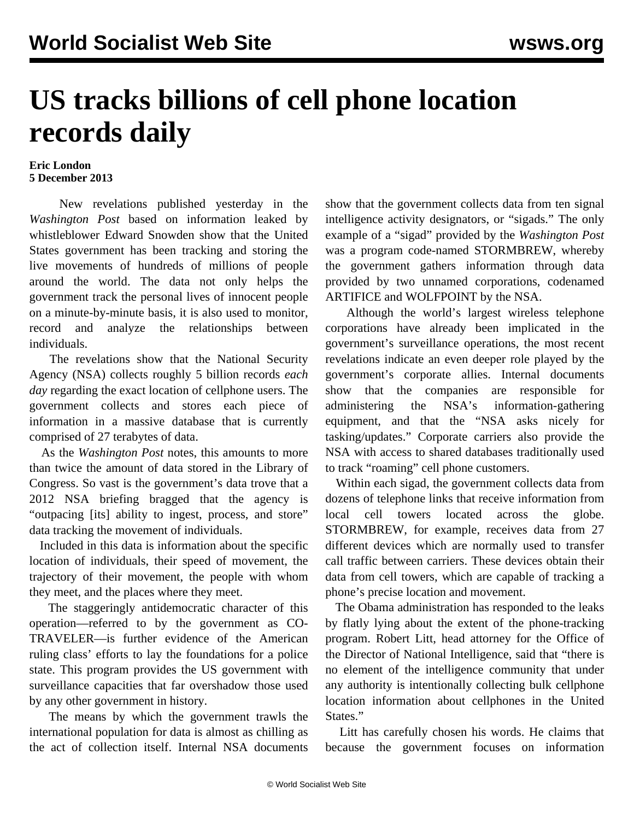## **US tracks billions of cell phone location records daily**

## **Eric London 5 December 2013**

 New revelations published yesterday in the *Washington Post* based on information leaked by whistleblower Edward Snowden show that the United States government has been tracking and storing the live movements of hundreds of millions of people around the world. The data not only helps the government track the personal lives of innocent people on a minute-by-minute basis, it is also used to monitor, record and analyze the relationships between individuals.

 The revelations show that the National Security Agency (NSA) collects roughly 5 billion records *each day* regarding the exact location of cellphone users. The government collects and stores each piece of information in a massive database that is currently comprised of 27 terabytes of data.

 As the *Washington Post* notes, this amounts to more than twice the amount of data stored in the Library of Congress. So vast is the government's data trove that a 2012 NSA briefing bragged that the agency is "outpacing [its] ability to ingest, process, and store" data tracking the movement of individuals.

 Included in this data is information about the specific location of individuals, their speed of movement, the trajectory of their movement, the people with whom they meet, and the places where they meet.

 The staggeringly antidemocratic character of this operation—referred to by the government as CO-TRAVELER—is further evidence of the American ruling class' efforts to lay the foundations for a police state. This program provides the US government with surveillance capacities that far overshadow those used by any other government in history.

 The means by which the government trawls the international population for data is almost as chilling as the act of collection itself. Internal NSA documents show that the government collects data from ten signal intelligence activity designators, or "sigads." The only example of a "sigad" provided by the *Washington Post* was a program code-named STORMBREW, whereby the government gathers information through data provided by two unnamed corporations, codenamed ARTIFICE and WOLFPOINT by the NSA.

 Although the world's largest wireless telephone corporations have already been implicated in the government's surveillance operations, the most recent revelations indicate an even deeper role played by the government's corporate allies. Internal documents show that the companies are responsible for administering the NSA's information-gathering equipment, and that the "NSA asks nicely for tasking/updates." Corporate carriers also provide the NSA with access to shared databases traditionally used to track "roaming" cell phone customers.

 Within each sigad, the government collects data from dozens of telephone links that receive information from local cell towers located across the globe. STORMBREW, for example, receives data from 27 different devices which are normally used to transfer call traffic between carriers. These devices obtain their data from cell towers, which are capable of tracking a phone's precise location and movement.

 The Obama administration has responded to the leaks by flatly lying about the extent of the phone-tracking program. Robert Litt, head attorney for the Office of the Director of National Intelligence, said that "there is no element of the intelligence community that under any authority is intentionally collecting bulk cellphone location information about cellphones in the United States."

 Litt has carefully chosen his words. He claims that because the government focuses on information